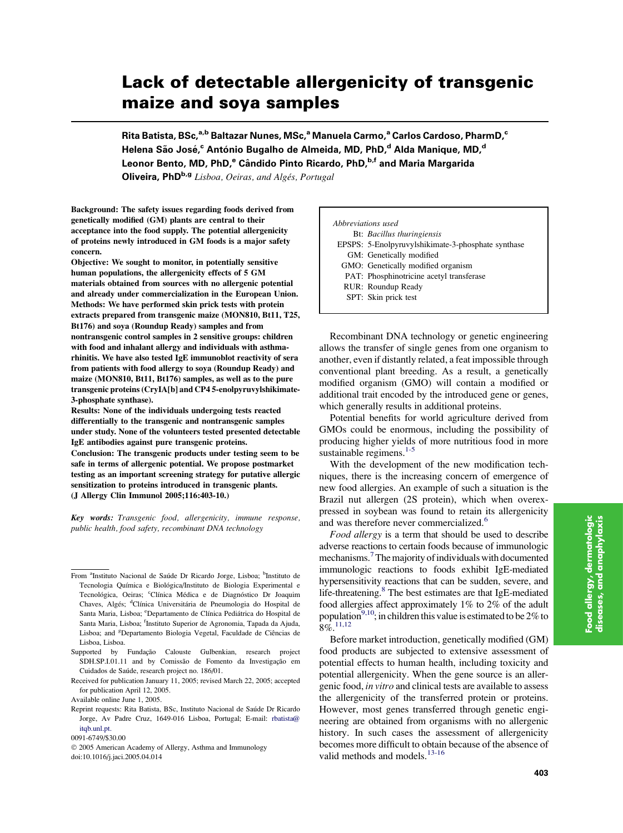# Lack of detectable allergenicity of transgenic maize and soya samples

Rita Batista, BSc,<sup>a,b</sup> Baltazar Nunes, MSc,<sup>a</sup> Manuela Carmo,<sup>a</sup> Carlos Cardoso, PharmD,<sup>c</sup> Helena São José,<sup>c</sup> António Bugalho de Almeida, MD, PhD,<sup>d</sup> Alda Manique, MD,<sup>d</sup> Leonor Bento, MD, PhD,<sup>e</sup> Cândido Pinto Ricardo, PhD,<sup>b,f</sup> and Maria Margarida Oliveira, PhD<sup>b,g</sup> Lisboa, Oeiras, and Algés, Portugal

Background: The safety issues regarding foods derived from genetically modified (GM) plants are central to their acceptance into the food supply. The potential allergenicity of proteins newly introduced in GM foods is a major safety concern.

Objective: We sought to monitor, in potentially sensitive human populations, the allergenicity effects of 5 GM materials obtained from sources with no allergenic potential and already under commercialization in the European Union. Methods: We have performed skin prick tests with protein extracts prepared from transgenic maize (MON810, Bt11, T25, Bt176) and soya (Roundup Ready) samples and from nontransgenic control samples in 2 sensitive groups: children with food and inhalant allergy and individuals with asthmarhinitis. We have also tested IgE immunoblot reactivity of sera from patients with food allergy to soya (Roundup Ready) and maize (MON810, Bt11, Bt176) samples, as well as to the pure transgenic proteins (CryIA[b] and CP4 5-enolpyruvylshikimate-3-phosphate synthase).

Results: None of the individuals undergoing tests reacted differentially to the transgenic and nontransgenic samples under study. None of the volunteers tested presented detectable IgE antibodies against pure transgenic proteins.

Conclusion: The transgenic products under testing seem to be safe in terms of allergenic potential. We propose postmarket testing as an important screening strategy for putative allergic sensitization to proteins introduced in transgenic plants. (J Allergy Clin Immunol 2005;116:403-10.)

Key words: Transgenic food, allergenicity, immune response, public health, food safety, recombinant DNA technology

| Abbreviations used |                                                    |
|--------------------|----------------------------------------------------|
|                    | Bt: Bacillus thuringiensis                         |
|                    | EPSPS: 5-Enolpyruvylshikimate-3-phosphate synthase |
|                    | GM: Genetically modified                           |
|                    | GMO: Genetically modified organism                 |
|                    | PAT: Phosphinotricine acetyl transferase           |
|                    | RUR: Roundup Ready                                 |
|                    | SPT: Skin prick test                               |

Recombinant DNA technology or genetic engineering allows the transfer of single genes from one organism to another, even if distantly related, a feat impossible through conventional plant breeding. As a result, a genetically modified organism (GMO) will contain a modified or additional trait encoded by the introduced gene or genes, which generally results in additional proteins.

Potential benefits for world agriculture derived from GMOs could be enormous, including the possibility of producing higher yields of more nutritious food in more sustainable regimens. $1-5$ 

With the development of the new modification techniques, there is the increasing concern of emergence of new food allergies. An example of such a situation is the Brazil nut allergen (2S protein), which when overexpressed in soybean was found to retain its allergenicity and was therefore never commercialized.<sup>[6](#page-7-0)</sup>

Food allergy is a term that should be used to describe adverse reactions to certain foods because of immunologic mechanisms.<sup>[7](#page-7-0)</sup> The majority of individuals with documented immunologic reactions to foods exhibit IgE-mediated hypersensitivity reactions that can be sudden, severe, and life-threatening[.8](#page-7-0) The best estimates are that IgE-mediated food allergies affect approximately 1% to 2% of the adult population<sup>9,10</sup>; in children this value is estimated to be 2% to  $8\%$ <sup>[11,12](#page-7-0)</sup>

Before market introduction, genetically modified (GM) food products are subjected to extensive assessment of potential effects to human health, including toxicity and potential allergenicity. When the gene source is an allergenic food, in vitro and clinical tests are available to assess the allergenicity of the transferred protein or proteins. However, most genes transferred through genetic engineering are obtained from organisms with no allergenic history. In such cases the assessment of allergenicity becomes more difficult to obtain because of the absence of valid methods and models.<sup>[13-16](#page-7-0)</sup>

From <sup>a</sup>Instituto Nacional de Saúde Dr Ricardo Jorge, Lisboa; <sup>b</sup>Instituto de Tecnologia Química e Biológica/Instituto de Biologia Experimental e Tecnológica, Oeiras; <sup>c</sup>Clínica Médica e de Diagnóstico Dr Joaquim Chaves, Algés; <sup>d</sup>Clínica Universitária de Pneumologia do Hospital de Santa Maria, Lisboa; <sup>e</sup>Departamento de Clínica Pediátrica do Hospital de Santa Maria, Lisboa; <sup>f</sup>Instituto Superior de Agronomia, Tapada da Ajuda, Lisboa; and <sup>g</sup>Departamento Biologia Vegetal, Faculdade de Ciências de Lisboa, Lisboa.

Supported by Fundação Calouste Gulbenkian, research project SDH.SP.I.01.11 and by Comissão de Fomento da Investigação em Cuidados de Saúde, research project no. 186/01.

Received for publication January 11, 2005; revised March 22, 2005; accepted for publication April 12, 2005.

Available online June 1, 2005.

Reprint requests: Rita Batista, BSc, Instituto Nacional de Saúde Dr Ricardo Jorge, Av Padre Cruz, 1649-016 Lisboa, Portugal; E-mail: [rbatista@](mailto:rbatista@itqb.unl.pt) [itqb.unl.pt.](mailto:rbatista@itqb.unl.pt)

<sup>0091-6749/\$30.00</sup>

2005 American Academy of Allergy, Asthma and Immunology doi:10.1016/j.jaci.2005.04.014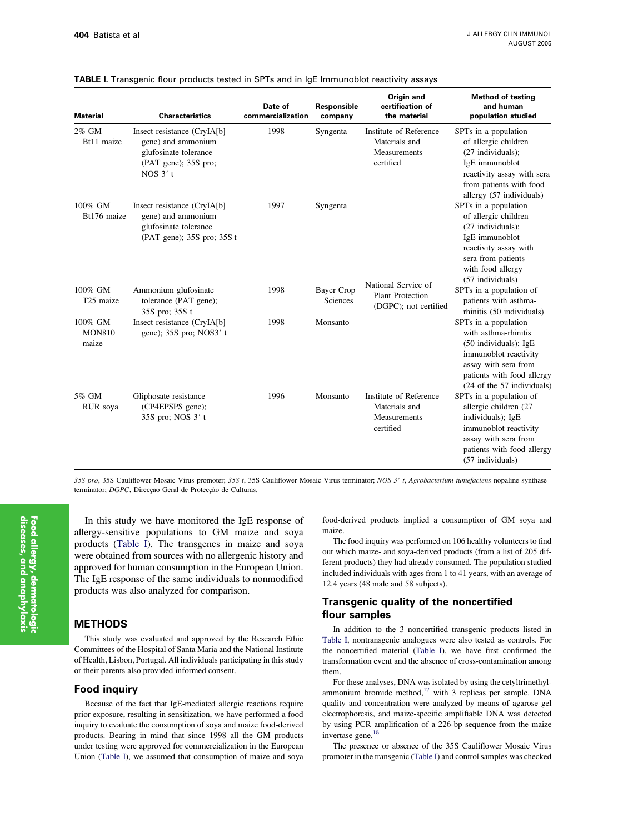| <b>Material</b>                   | <b>Characteristics</b>                                                                                           | Date of<br>commercialization | Responsible<br>company        | Origin and<br>certification of<br>the material                              | <b>Method of testing</b><br>and human<br>population studied                                                                                                                          |
|-----------------------------------|------------------------------------------------------------------------------------------------------------------|------------------------------|-------------------------------|-----------------------------------------------------------------------------|--------------------------------------------------------------------------------------------------------------------------------------------------------------------------------------|
| 2% GM<br>Bt11 maize               | Insect resistance (CryIA[b]<br>gene) and ammonium<br>glufosinate tolerance<br>(PAT gene); 35S pro;<br>NOS $3'$ t | 1998                         | Syngenta                      | Institute of Reference<br>Materials and<br><b>Measurements</b><br>certified | SPTs in a population<br>of allergic children<br>$(27$ individuals);<br>IgE immunoblot<br>reactivity assay with sera<br>from patients with food<br>allergy (57 individuals)           |
| 100% GM<br>Bt176 maize            | Insect resistance (CryIA[b]<br>gene) and ammonium<br>glufosinate tolerance<br>(PAT gene); 35S pro; 35S t         | 1997                         | Syngenta                      |                                                                             | SPTs in a population<br>of allergic children<br>(27 individuals);<br>IgE immunoblot<br>reactivity assay with<br>sera from patients<br>with food allergy<br>(57 individuals)          |
| 100% GM<br>T <sub>25</sub> maize  | Ammonium glufosinate<br>tolerance (PAT gene);<br>35S pro; 35S t                                                  | 1998                         | <b>Bayer Crop</b><br>Sciences | National Service of<br><b>Plant Protection</b><br>(DGPC); not certified     | SPTs in a population of<br>patients with asthma-<br>rhinitis (50 individuals)                                                                                                        |
| 100% GM<br><b>MON810</b><br>maize | Insect resistance (CryIA[b]<br>gene); 35S pro; NOS3' t                                                           | 1998                         | Monsanto                      |                                                                             | SPTs in a population<br>with asthma-rhinitis<br>$(50$ individuals); IgE<br>immunoblot reactivity<br>assay with sera from<br>patients with food allergy<br>(24 of the 57 individuals) |
| 5% GM<br>RUR soya                 | Gliphosate resistance<br>(CP4EPSPS gene);<br>35S pro; NOS 3' t                                                   | 1996                         | Monsanto                      | Institute of Reference<br>Materials and<br><b>Measurements</b><br>certified | SPTs in a population of<br>allergic children (27<br>individuals); IgE<br>immunoblot reactivity<br>assay with sera from<br>patients with food allergy<br>(57 individuals)             |

#### <span id="page-1-0"></span>TABLE I. Transgenic flour products tested in SPTs and in IgE Immunoblot reactivity assays

35S pro, 35S Cauliflower Mosaic Virus promoter; 35S t, 35S Cauliflower Mosaic Virus terminator; NOS 3' t, Agrobacterium tumefaciens nopaline synthase terminator; DGPC, Direcçao Geral de Protecção de Culturas.

In this study we have monitored the IgE response of allergy-sensitive populations to GM maize and soya products (Table I). The transgenes in maize and soya were obtained from sources with no allergenic history and approved for human consumption in the European Union. The IgE response of the same individuals to nonmodified products was also analyzed for comparison.

#### METHODS

This study was evaluated and approved by the Research Ethic Committees of the Hospital of Santa Maria and the National Institute of Health, Lisbon, Portugal. All individuals participating in this study or their parents also provided informed consent.

#### Food inquiry

Because of the fact that IgE-mediated allergic reactions require prior exposure, resulting in sensitization, we have performed a food inquiry to evaluate the consumption of soya and maize food-derived products. Bearing in mind that since 1998 all the GM products under testing were approved for commercialization in the European Union (Table I), we assumed that consumption of maize and soya food-derived products implied a consumption of GM soya and maize.

The food inquiry was performed on 106 healthy volunteers to find out which maize- and soya-derived products (from a list of 205 different products) they had already consumed. The population studied included individuals with ages from 1 to 41 years, with an average of 12.4 years (48 male and 58 subjects).

## Transgenic quality of the noncertified flour samples

In addition to the 3 noncertified transgenic products listed in Table I, nontransgenic analogues were also tested as controls. For the noncertified material (Table I), we have first confirmed the transformation event and the absence of cross-contamination among them.

For these analyses, DNA was isolated by using the cetyltrimethylammonium bromide method, $17$  with 3 replicas per sample. DNA quality and concentration were analyzed by means of agarose gel electrophoresis, and maize-specific amplifiable DNA was detected by using PCR amplification of a 226-bp sequence from the maize invertase gene.<sup>18</sup>

The presence or absence of the 35S Cauliflower Mosaic Virus promoter in the transgenic (Table I) and control samples was checked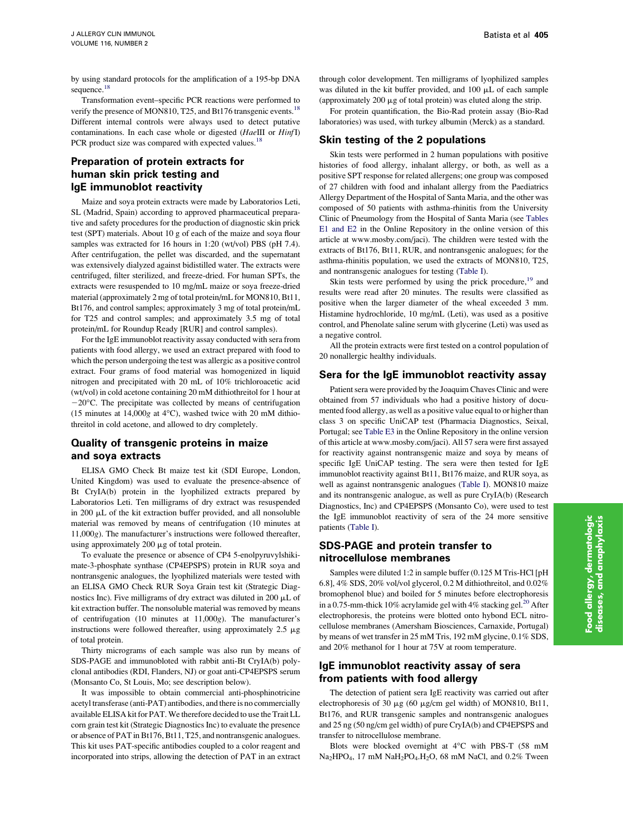by using standard protocols for the amplification of a 195-bp DNA sequence.<sup>[18](#page-7-0)</sup>

Transformation event–specific PCR reactions were performed to verify the presence of MON810, T25, and Bt176 transgenic events.<sup>18</sup> Different internal controls were always used to detect putative contaminations. In each case whole or digested (HaeIII or HinfI) PCR product size was compared with expected values.<sup>18</sup>

## Preparation of protein extracts for human skin prick testing and IgE immunoblot reactivity

Maize and soya protein extracts were made by Laboratorios Leti, SL (Madrid, Spain) according to approved pharmaceutical preparative and safety procedures for the production of diagnostic skin prick test (SPT) materials. About 10 g of each of the maize and soya flour samples was extracted for 16 hours in 1:20 (wt/vol) PBS (pH 7.4). After centrifugation, the pellet was discarded, and the supernatant was extensively dialyzed against bidistilled water. The extracts were centrifuged, filter sterilized, and freeze-dried. For human SPTs, the extracts were resuspended to 10 mg/mL maize or soya freeze-dried material (approximately 2 mg of total protein/mL for MON810, Bt11, Bt176, and control samples; approximately 3 mg of total protein/mL for T25 and control samples; and approximately 3.5 mg of total protein/mL for Roundup Ready [RUR] and control samples).

For the IgE immunoblot reactivity assay conducted with sera from patients with food allergy, we used an extract prepared with food to which the person undergoing the test was allergic as a positive control extract. Four grams of food material was homogenized in liquid nitrogen and precipitated with 20 mL of 10% trichloroacetic acid (wt/vol) in cold acetone containing 20 mM dithiothreitol for 1 hour at  $-20$ °C. The precipitate was collected by means of centrifugation (15 minutes at 14,000 $g$  at 4°C), washed twice with 20 mM dithiothreitol in cold acetone, and allowed to dry completely.

## Quality of transgenic proteins in maize and soya extracts

ELISA GMO Check Bt maize test kit (SDI Europe, London, United Kingdom) was used to evaluate the presence-absence of Bt CryIA(b) protein in the lyophilized extracts prepared by Laboratorios Leti. Ten milligrams of dry extract was resuspended in 200 µL of the kit extraction buffer provided, and all nonsoluble material was removed by means of centrifugation (10 minutes at 11,000g). The manufacturer's instructions were followed thereafter, using approximately 200  $\mu$ g of total protein.

To evaluate the presence or absence of CP4 5-enolpyruvylshikimate-3-phosphate synthase (CP4EPSPS) protein in RUR soya and nontransgenic analogues, the lyophilized materials were tested with an ELISA GMO Check RUR Soya Grain test kit (Strategic Diagnostics Inc). Five milligrams of dry extract was diluted in 200  $\mu$ L of kit extraction buffer. The nonsoluble material was removed by means of centrifugation (10 minutes at 11,000g). The manufacturer's instructions were followed thereafter, using approximately  $2.5 \mu g$ of total protein.

Thirty micrograms of each sample was also run by means of SDS-PAGE and immunobloted with rabbit anti-Bt CryIA(b) polyclonal antibodies (RDI, Flanders, NJ) or goat anti-CP4EPSPS serum (Monsanto Co, St Louis, Mo; see description below).

It was impossible to obtain commercial anti-phosphinotricine acetyl transferase (anti-PAT) antibodies, and there is no commercially available ELISA kit for PAT. We therefore decided to use the Trait LL corn grain test kit (Strategic Diagnostics Inc) to evaluate the presence or absence of PAT in Bt176, Bt11, T25, and nontransgenic analogues. This kit uses PAT-specific antibodies coupled to a color reagent and incorporated into strips, allowing the detection of PAT in an extract

through color development. Ten milligrams of lyophilized samples was diluted in the kit buffer provided, and  $100 \mu L$  of each sample (approximately  $200 \mu$ g of total protein) was eluted along the strip.

For protein quantification, the Bio-Rad protein assay (Bio-Rad laboratories) was used, with turkey albumin (Merck) as a standard.

#### Skin testing of the 2 populations

Skin tests were performed in 2 human populations with positive histories of food allergy, inhalant allergy, or both, as well as a positive SPT response for related allergens; one group was composed of 27 children with food and inhalant allergy from the Paediatrics Allergy Department of the Hospital of Santa Maria, and the other was composed of 50 patients with asthma-rhinitis from the University Clinic of Pneumology from the Hospital of Santa Maria (see Tables E1 and E2 in the Online Repository in the online version of this article at www.mosby.com/jaci). The children were tested with the extracts of Bt176, Bt11, RUR, and nontransgenic analogues; for the asthma-rhinitis population, we used the extracts of MON810, T25, and nontransgenic analogues for testing [\(Table I\)](#page-1-0).

Skin tests were performed by using the prick procedure,<sup>[19](#page-7-0)</sup> and results were read after 20 minutes. The results were classified as positive when the larger diameter of the wheal exceeded 3 mm. Histamine hydrochloride, 10 mg/mL (Leti), was used as a positive control, and Phenolate saline serum with glycerine (Leti) was used as a negative control.

All the protein extracts were first tested on a control population of 20 nonallergic healthy individuals.

# Sera for the IgE immunoblot reactivity assay

Patient sera were provided by the Joaquim Chaves Clinic and were obtained from 57 individuals who had a positive history of documented food allergy, as well as a positive value equal to or higher than class 3 on specific UniCAP test (Pharmacia Diagnostics, Seixal, Portugal; see Table E3 in the Online Repository in the online version of this article at www.mosby.com/jaci). All 57 sera were first assayed for reactivity against nontransgenic maize and soya by means of specific IgE UniCAP testing. The sera were then tested for IgE immunoblot reactivity against Bt11, Bt176 maize, and RUR soya, as well as against nontransgenic analogues [\(Table I](#page-1-0)). MON810 maize and its nontransgenic analogue, as well as pure CryIA(b) (Research Diagnostics, Inc) and CP4EPSPS (Monsanto Co), were used to test the IgE immunoblot reactivity of sera of the 24 more sensitive patients [\(Table I\)](#page-1-0).

## SDS-PAGE and protein transfer to nitrocellulose membranes

Samples were diluted 1:2 in sample buffer (0.125 M Tris-HCl [pH 6.8], 4% SDS, 20% vol/vol glycerol, 0.2 M dithiothreitol, and 0.02% bromophenol blue) and boiled for 5 minutes before electrophoresis in a 0.75-mm-thick 10% acrylamide gel with 4% stacking gel. $^{20}$  After electrophoresis, the proteins were blotted onto hybond ECL nitrocellulose membranes (Amersham Biosciences, Carnaxide, Portugal) by means of wet transfer in 25 mM Tris, 192 mM glycine, 0.1% SDS, and 20% methanol for 1 hour at 75V at room temperature.

## IgE immunoblot reactivity assay of sera from patients with food allergy

The detection of patient sera IgE reactivity was carried out after electrophoresis of 30  $\mu$ g (60  $\mu$ g/cm gel width) of MON810, Bt11, Bt176, and RUR transgenic samples and nontransgenic analogues and 25 ng (50 ng/cm gel width) of pure CryIA(b) and CP4EPSPS and transfer to nitrocellulose membrane.

Blots were blocked overnight at 4°C with PBS-T (58 mM  $Na<sub>2</sub>HPO<sub>4</sub>$ , 17 mM  $NaH<sub>2</sub>PO<sub>4</sub>$ ,  $H<sub>2</sub>O$ , 68 mM NaCl, and 0.2% Tween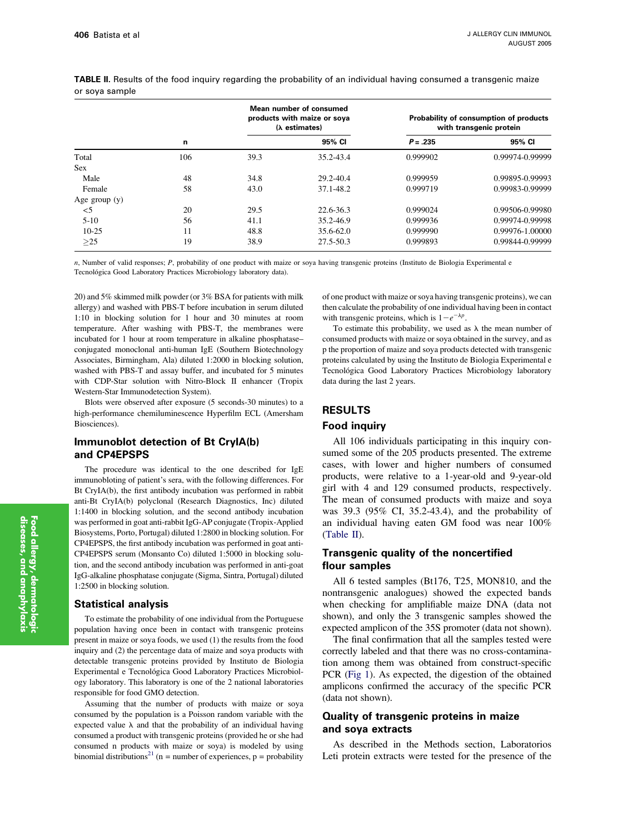|                 | n   | Mean number of consumed<br>products with maize or soya<br>$(\lambda$ estimates) |               | Probability of consumption of products<br>with transgenic protein |                 |
|-----------------|-----|---------------------------------------------------------------------------------|---------------|-------------------------------------------------------------------|-----------------|
|                 |     |                                                                                 | 95% CI        | $P = .235$                                                        | 95% CI          |
| Total           | 106 | 39.3                                                                            | 35.2-43.4     | 0.999902                                                          | 0.99974-0.99999 |
| <b>Sex</b>      |     |                                                                                 |               |                                                                   |                 |
| Male            | 48  | 34.8                                                                            | 29.2-40.4     | 0.999959                                                          | 0.99895-0.99993 |
| Female          | 58  | 43.0                                                                            | 37.1-48.2     | 0.999719                                                          | 0.99983-0.99999 |
| Age group $(y)$ |     |                                                                                 |               |                                                                   |                 |
| $<$ 5           | 20  | 29.5                                                                            | 22.6-36.3     | 0.999024                                                          | 0.99506-0.99980 |
| $5 - 10$        | 56  | 41.1                                                                            | 35.2-46.9     | 0.999936                                                          | 0.99974-0.99998 |
| $10-25$         | 11  | 48.8                                                                            | $35.6 - 62.0$ | 0.999990                                                          | 0.99976-1.00000 |
| >25             | 19  | 38.9                                                                            | 27.5-50.3     | 0.999893                                                          | 0.99844-0.99999 |

<span id="page-3-0"></span>TABLE II. Results of the food inquiry regarding the probability of an individual having consumed a transgenic maize or soya sample

n, Number of valid responses; P, probability of one product with maize or soya having transgenic proteins (Instituto de Biologia Experimental e Tecnológica Good Laboratory Practices Microbiology laboratory data).

20) and 5% skimmed milk powder (or 3% BSA for patients with milk allergy) and washed with PBS-T before incubation in serum diluted 1:10 in blocking solution for 1 hour and 30 minutes at room temperature. After washing with PBS-T, the membranes were incubated for 1 hour at room temperature in alkaline phosphatase– conjugated monoclonal anti-human IgE (Southern Biotechnology Associates, Birmingham, Ala) diluted 1:2000 in blocking solution, washed with PBS-T and assay buffer, and incubated for 5 minutes with CDP-Star solution with Nitro-Block II enhancer (Tropix Western-Star Immunodetection System).

Blots were observed after exposure (5 seconds-30 minutes) to a high-performance chemiluminescence Hyperfilm ECL (Amersham Biosciences).

## Immunoblot detection of Bt CryIA(b) and CP4EPSPS

The procedure was identical to the one described for IgE immunobloting of patient's sera, with the following differences. For Bt CryIA(b), the first antibody incubation was performed in rabbit anti-Bt CryIA(b) polyclonal (Research Diagnostics, Inc) diluted 1:1400 in blocking solution, and the second antibody incubation was performed in goat anti-rabbit IgG-AP conjugate (Tropix-Applied Biosystems, Porto, Portugal) diluted 1:2800 in blocking solution. For CP4EPSPS, the first antibody incubation was performed in goat anti-CP4EPSPS serum (Monsanto Co) diluted 1:5000 in blocking solution, and the second antibody incubation was performed in anti-goat IgG-alkaline phosphatase conjugate (Sigma, Sintra, Portugal) diluted 1:2500 in blocking solution.

#### Statistical analysis

To estimate the probability of one individual from the Portuguese population having once been in contact with transgenic proteins present in maize or soya foods, we used (1) the results from the food inquiry and (2) the percentage data of maize and soya products with detectable transgenic proteins provided by Instituto de Biologia Experimental e Tecnológica Good Laboratory Practices Microbiology laboratory. This laboratory is one of the 2 national laboratories responsible for food GMO detection.

Assuming that the number of products with maize or soya consumed by the population is a Poisson random variable with the expected value  $\lambda$  and that the probability of an individual having consumed a product with transgenic proteins (provided he or she had consumed n products with maize or soya) is modeled by using binomial distributions<sup>[21](#page-7-0)</sup> (n = number of experiences, p = probability of one product with maize or soya having transgenic proteins), we can then calculate the probability of one individual having been in contact with transgenic proteins, which is  $1-e^{-\lambda p}$ .

To estimate this probability, we used as  $\lambda$  the mean number of consumed products with maize or soya obtained in the survey, and as p the proportion of maize and soya products detected with transgenic proteins calculated by using the Instituto de Biologia Experimental e Tecnológica Good Laboratory Practices Microbiology laboratory data during the last 2 years.

## RESULTS

#### Food inquiry

All 106 individuals participating in this inquiry consumed some of the 205 products presented. The extreme cases, with lower and higher numbers of consumed products, were relative to a 1-year-old and 9-year-old girl with 4 and 129 consumed products, respectively. The mean of consumed products with maize and soya was 39.3 (95% CI, 35.2-43.4), and the probability of an individual having eaten GM food was near 100% (Table II).

## Transgenic quality of the noncertified flour samples

All 6 tested samples (Bt176, T25, MON810, and the nontransgenic analogues) showed the expected bands when checking for amplifiable maize DNA (data not shown), and only the 3 transgenic samples showed the expected amplicon of the 35S promoter (data not shown).

The final confirmation that all the samples tested were correctly labeled and that there was no cross-contamination among them was obtained from construct-specific PCR ([Fig 1](#page-4-0)). As expected, the digestion of the obtained amplicons confirmed the accuracy of the specific PCR (data not shown).

## Quality of transgenic proteins in maize and soya extracts

As described in the Methods section, Laboratorios Leti protein extracts were tested for the presence of the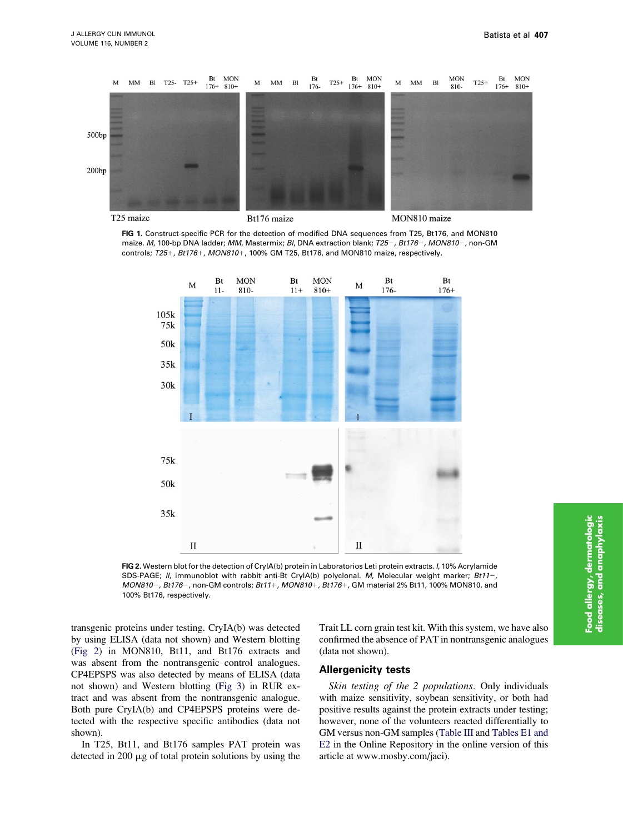<span id="page-4-0"></span>

FIG 1. Construct-specific PCR for the detection of modified DNA sequences from T25, Bt176, and MON810 maize. M, 100-bp DNA ladder; MM, Mastermix; BI, DNA extraction blank; T25-, Bt176-, MON810-, non-GM controls;  $T25+$ ,  $Bt176+$ ,  $MON810+$ , 100% GM T25, Bt176, and MON810 maize, respectively.



FIG 2. Western blot for the detection of CryIA(b) protein in Laboratorios Leti protein extracts. I, 10% Acrylamide SDS-PAGE; II, immunoblot with rabbit anti-Bt CryIA(b) polyclonal. M, Molecular weight marker; Bt11-, MON810-, Bt176-, non-GM controls; Bt11+, MON810+, Bt176+, GM material 2% Bt11, 100% MON810, and 100% Bt176, respectively.

transgenic proteins under testing. CryIA(b) was detected by using ELISA (data not shown) and Western blotting (Fig 2) in MON810, Bt11, and Bt176 extracts and was absent from the nontransgenic control analogues. CP4EPSPS was also detected by means of ELISA (data not shown) and Western blotting [\(Fig 3](#page-5-0)) in RUR extract and was absent from the nontransgenic analogue. Both pure CryIA(b) and CP4EPSPS proteins were detected with the respective specific antibodies (data not shown).

In T25, Bt11, and Bt176 samples PAT protein was detected in 200  $\mu$ g of total protein solutions by using the Trait LL corn grain test kit. With this system, we have also confirmed the absence of PAT in nontransgenic analogues (data not shown).

#### Allergenicity tests

Skin testing of the 2 populations. Only individuals with maize sensitivity, soybean sensitivity, or both had positive results against the protein extracts under testing; however, none of the volunteers reacted differentially to GM versus non-GM samples [\(Table III](#page-5-0) and Tables E1 and E2 in the Online Repository in the online version of this article at www.mosby.com/jaci).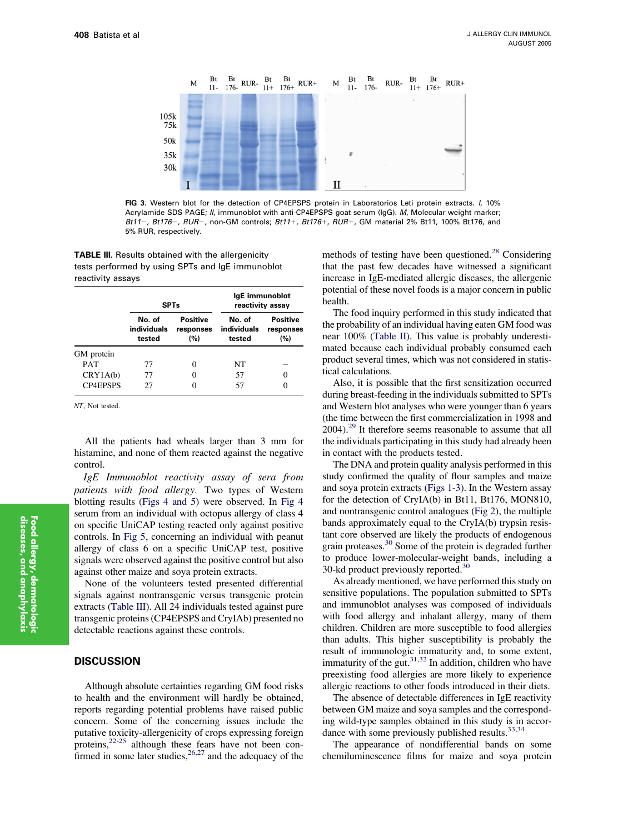<span id="page-5-0"></span>

FIG 3. Western blot for the detection of CP4EPSPS protein in Laboratorios Leti protein extracts. I, 10% Acrylamide SDS-PAGE; II, immunoblot with anti-CP4EPSPS goat serum (IgG). M, Molecular weight marker; Bt11-, Bt176-, RUR-, non-GM controls; Bt11+, Bt176+, RUR+, GM material 2% Bt11, 100% Bt176, and 5% RUR, respectively.

TABLE III. Results obtained with the allergenicity tests performed by using SPTs and IgE immunoblot reactivity assays

|                 | <b>SPTs</b>                     |                                     | IgE immunoblot<br>reactivity assay |                                     |
|-----------------|---------------------------------|-------------------------------------|------------------------------------|-------------------------------------|
|                 | No. of<br>individuals<br>tested | <b>Positive</b><br>responses<br>(%) | No. of<br>individuals<br>tested    | <b>Positive</b><br>responses<br>(%) |
| GM protein      |                                 |                                     |                                    |                                     |
| <b>PAT</b>      | 77                              | 0                                   | NT                                 |                                     |
| CRY1A(b)        | 77                              | 0                                   | 57                                 | 0                                   |
| <b>CP4EPSPS</b> | 27                              |                                     | 57                                 | 0                                   |

NT, Not tested.

All the patients had wheals larger than 3 mm for histamine, and none of them reacted against the negative control.

IgE Immunoblot reactivity assay of sera from patients with food allergy. Two types of Western blotting results ([Figs 4 and 5\)](#page-6-0) were observed. In [Fig 4](#page-6-0) serum from an individual with octopus allergy of class 4 on specific UniCAP testing reacted only against positive controls. In [Fig 5,](#page-6-0) concerning an individual with peanut allergy of class 6 on a specific UniCAP test, positive signals were observed against the positive control but also against other maize and soya protein extracts.

None of the volunteers tested presented differential signals against nontransgenic versus transgenic protein extracts (Table III). All 24 individuals tested against pure transgenic proteins (CP4EPSPS and CryIAb) presented no detectable reactions against these controls.

#### **DISCUSSION**

Although absolute certainties regarding GM food risks to health and the environment will hardly be obtained, reports regarding potential problems have raised public concern. Some of the concerning issues include the putative toxicity-allergenicity of crops expressing foreign proteins,<sup>[22-25](#page-7-0)</sup> although these fears have not been confirmed in some later studies,  $26.27$  and the adequacy of the

methods of testing have been questioned.<sup>[28](#page-7-0)</sup> Considering that the past few decades have witnessed a significant increase in IgE-mediated allergic diseases, the allergenic potential of these novel foods is a major concern in public health.

The food inquiry performed in this study indicated that the probability of an individual having eaten GM food was near 100% ([Table II\)](#page-3-0). This value is probably underestimated because each individual probably consumed each product several times, which was not considered in statistical calculations.

Also, it is possible that the first sensitization occurred during breast-feeding in the individuals submitted to SPTs and Western blot analyses who were younger than 6 years (the time between the first commercialization in 1998 and  $2004$ .<sup>[29](#page-7-0)</sup> It therefore seems reasonable to assume that all the individuals participating in this study had already been in contact with the products tested.

The DNA and protein quality analysis performed in this study confirmed the quality of flour samples and maize and soya protein extracts ([Figs 1-3\)](#page-4-0). In the Western assay for the detection of CryIA(b) in Bt11, Bt176, MON810, and nontransgenic control analogues ([Fig 2](#page-4-0)), the multiple bands approximately equal to the CryIA(b) trypsin resistant core observed are likely the products of endogenous grain proteases.[30](#page-7-0) Some of the protein is degraded further to produce lower-molecular-weight bands, including a 30-kd product previously reported.<sup>30</sup>

As already mentioned, we have performed this study on sensitive populations. The population submitted to SPTs and immunoblot analyses was composed of individuals with food allergy and inhalant allergy, many of them children. Children are more susceptible to food allergies than adults. This higher susceptibility is probably the result of immunologic immaturity and, to some extent, immaturity of the gut. $31,32$  In addition, children who have preexisting food allergies are more likely to experience allergic reactions to other foods introduced in their diets.

The absence of detectable differences in IgE reactivity between GM maize and soya samples and the corresponding wild-type samples obtained in this study is in accordance with some previously published results.  $33,34$ 

The appearance of nondifferential bands on some chemiluminescence films for maize and soya protein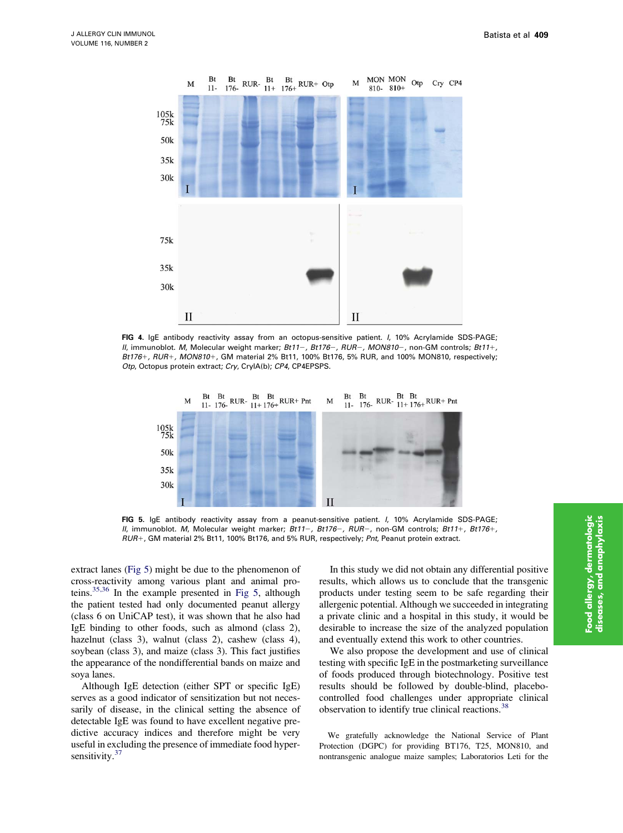<span id="page-6-0"></span>

FIG 4. IgE antibody reactivity assay from an octopus-sensitive patient. I, 10% Acrylamide SDS-PAGE; II, immunoblot. M, Molecular weight marker; Bt11-, Bt176-, RUR-, MON810-, non-GM controls; Bt11+,  $Bt176+$ ,  $RUR+$ ,  $MON810+$ , GM material 2% Bt11, 100% Bt176, 5% RUR, and 100% MON810, respectively; Otp, Octopus protein extract; Cry, CryIA(b); CP4, CP4EPSPS.



FIG 5. IgE antibody reactivity assay from a peanut-sensitive patient. I, 10% Acrylamide SDS-PAGE; II, immunoblot. M, Molecular weight marker; Bt11-, Bt176-, RUR-, non-GM controls; Bt11+, Bt176+, RUR+, GM material 2% Bt11, 100% Bt176, and 5% RUR, respectively; Pnt, Peanut protein extract.

extract lanes (Fig 5) might be due to the phenomenon of cross-reactivity among various plant and animal proteins.[35,36](#page-7-0) In the example presented in Fig 5, although the patient tested had only documented peanut allergy (class 6 on UniCAP test), it was shown that he also had IgE binding to other foods, such as almond (class 2), hazelnut (class 3), walnut (class 2), cashew (class 4), soybean (class 3), and maize (class 3). This fact justifies the appearance of the nondifferential bands on maize and soya lanes.

Although IgE detection (either SPT or specific IgE) serves as a good indicator of sensitization but not necessarily of disease, in the clinical setting the absence of detectable IgE was found to have excellent negative predictive accuracy indices and therefore might be very useful in excluding the presence of immediate food hyper-sensitivity.<sup>[37](#page-7-0)</sup>

In this study we did not obtain any differential positive results, which allows us to conclude that the transgenic products under testing seem to be safe regarding their allergenic potential. Although we succeeded in integrating a private clinic and a hospital in this study, it would be desirable to increase the size of the analyzed population and eventually extend this work to other countries.

We also propose the development and use of clinical testing with specific IgE in the postmarketing surveillance of foods produced through biotechnology. Positive test results should be followed by double-blind, placebocontrolled food challenges under appropriate clinical observation to identify true clinical reactions.<sup>[38](#page-7-0)</sup>

We gratefully acknowledge the National Service of Plant Protection (DGPC) for providing BT176, T25, MON810, and nontransgenic analogue maize samples; Laboratorios Leti for the